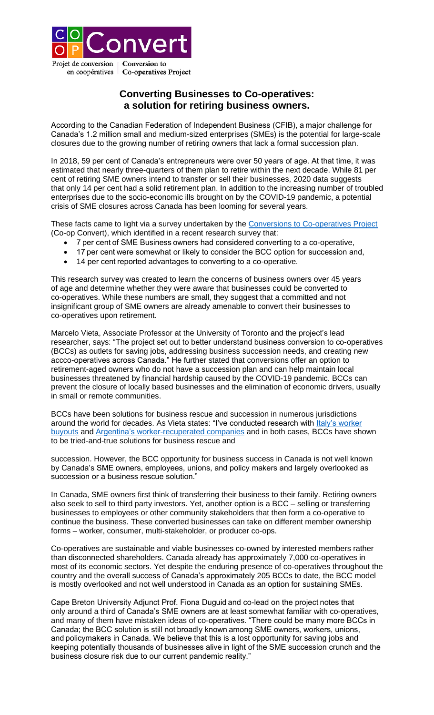

## **Converting Businesses to Co-operatives: a solution for retiring business owners.**

According to the Canadian Federation of Independent Business (CFIB), a major challenge for Canada's 1.2 million small and medium-sized enterprises (SMEs) is the potential for large-scale closures due to the growing number of retiring owners that lack a formal succession plan.

In 2018, 59 per cent of Canada's entrepreneurs were over 50 years of age. At that time, it was estimated that nearly three-quarters of them plan to retire within the next decade. While 81 per cent of retiring SME owners intend to transfer or sell their businesses, 2020 data suggests that only 14 per cent had a solid retirement plan. In addition to the increasing number of troubled enterprises due to the socio-economic ills brought on by the COVID-19 pandemic, a potential crisis of SME closures across Canada has been looming for several years.

These facts came to light via a survey undertaken by the [Conversions to Co-operatives Project](https://www.coopconvert.ca/) (Co-op Convert), which identified in a recent research survey that:

- 7 per cent of SME Business owners had considered converting to a co-operative,
- 17 per cent were somewhat or likely to consider the BCC option for succession and,
- 14 per cent reported advantages to converting to a co-operative.

This research survey was created to learn the concerns of business owners over 45 years of age and determine whether they were aware that businesses could be converted to co-operatives. While these numbers are small, they suggest that a committed and not insignificant group of SME owners are already amenable to convert their businesses to co-operatives upon retirement.

Marcelo Vieta, Associate Professor at the University of Toronto and the project's lead researcher, says: "The project set out to better understand business conversion to co-operatives (BCCs) as outlets for saving jobs, addressing business succession needs, and creating new accco-operatives across Canada." He further stated that conversions offer an option to retirement-aged owners who do not have a succession plan and can help maintain local businesses threatened by financial hardship caused by the COVID-19 pandemic. BCCs can prevent the closure of locally based businesses and the elimination of economic drivers, usually in small or remote communities.

BCCs have been solutions for business rescue and succession in numerous jurisdictions around the world for decades. As Vieta states: "I've conducted research with [Italy's worker](https://www.academia.edu/41433756/Saving_Jobs_and_Businesses_in_Times_of_Crisis_The_Italian_Road_to_Creating_Worker_Cooperatives_from_Worker_Buyouts)  [buyouts](https://www.academia.edu/41433756/Saving_Jobs_and_Businesses_in_Times_of_Crisis_The_Italian_Road_to_Creating_Worker_Cooperatives_from_Worker_Buyouts) and [Argentina's worker-recuperated](https://www.vieta.ca/workers-selfmanagement-argentina) companies and in both cases, BCCs have shown to be tried-and-true solutions for business rescue and

succession. However, the BCC opportunity for business success in Canada is not well known by Canada's SME owners, employees, unions, and policy makers and largely overlooked as succession or a business rescue solution."

In Canada, SME owners first think of transferring their business to their family. Retiring owners also seek to sell to third party investors. Yet, another option is a BCC – selling or transferring businesses to employees or other community stakeholders that then form a co-operative to continue the business. These converted businesses can take on different member ownership forms – worker, consumer, multi-stakeholder, or producer co-ops.

Co-operatives are sustainable and viable businesses co-owned by interested members rather than disconnected shareholders. Canada already has approximately 7,000 co-operatives in most of its economic sectors. Yet despite the enduring presence of co-operatives throughout the country and the overall success of Canada's approximately 205 BCCs to date, the BCC model is mostly overlooked and not well understood in Canada as an option for sustaining SMEs.

Cape Breton University Adjunct Prof. Fiona Duguid and co-lead on the project notes that only around a third of Canada's SME owners are at least somewhat familiar with co-operatives, and many of them have mistaken ideas of co-operatives. "There could be many more BCCs in Canada; the BCC solution is still not broadly known among SME owners, workers, unions, and policymakers in Canada. We believe that this is a lost opportunity for saving jobs and keeping potentially thousands of businesses alive in light of the SME succession crunch and the business closure risk due to our current pandemic reality."